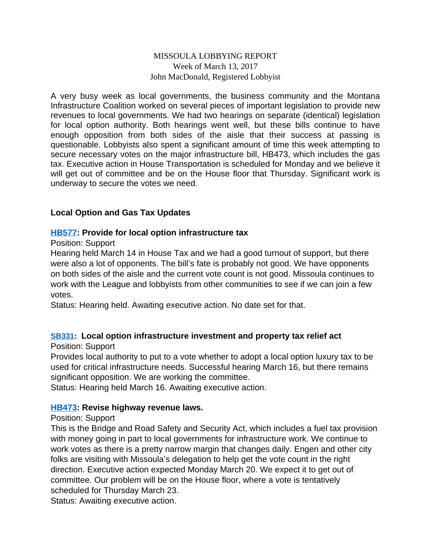### MISSOULA LOBBYING REPORT Week of March 13, 2017 John MacDonald, Registered Lobbyist

A very busy week as local governments, the business community and the Montana Infrastructure Coalition worked on several pieces of important legislation to provide new revenues to local governments. We had two hearings on separate (identical) legislation for local option authority. Both hearings went well, but these bills continue to have enough opposition from both sides of the aisle that their success at passing is questionable. Lobbyists also spent a significant amount of time this week attempting to secure necessary votes on the major infrastructure bill, HB473, which includes the gas tax. Executive action in House Transportation is scheduled for Monday and we believe it will get out of committee and be on the House floor that Thursday. Significant work is underway to secure the votes we need.

### **Local Option and Gas Tax Updates**

#### **[HB577](http://laws.leg.mt.gov/legprd/LAW0210W$BSIV.ActionQuery?P_BILL_NO1=577&P_BLTP_BILL_TYP_CD=HB&Z_ACTION=Find&P_SESS=20171): Provide for local option infrastructure tax**

#### Position: Support

Hearing held March 14 in House Tax and we had a good turnout of support, but there were also a lot of opponents. The bill's fate is probably not good. We have opponents on both sides of the aisle and the current vote count is not good. Missoula continues to work with the League and lobbyists from other communities to see if we can join a few votes.

Status: Hearing held. Awaiting executive action. No date set for that.

## **[SB331:](http://laws.leg.mt.gov/legprd/LAW0210W$BSIV.ActionQuery?P_BILL_NO1=331&P_BLTP_BILL_TYP_CD=SB&Z_ACTION=Find&P_SESS=20171) Local option infrastructure investment and property tax relief act**

Position: Support

Provides local authority to put to a vote whether to adopt a local option luxury tax to be used for critical infrastructure needs. Successful hearing March 16, but there remains significant opposition. We are working the committee.

Status: Hearing held March 16. Awaiting executive action.

#### **[HB473](http://laws.leg.mt.gov/legprd/LAW0210W$BSIV.ActionQuery?P_BILL_NO1=473&P_BLTP_BILL_TYP_CD=HB&Z_ACTION=Find&P_SESS=20171): Revise highway revenue laws.**

#### Position: Support

This is the Bridge and Road Safety and Security Act, which includes a fuel tax provision with money going in part to local governments for infrastructure work. We continue to work votes as there is a pretty narrow margin that changes daily. Engen and other city folks are visiting with Missoula's delegation to help get the vote count in the right direction. Executive action expected Monday March 20. We expect it to get out of committee. Our problem will be on the House floor, where a vote is tentatively scheduled for Thursday March 23.

Status: Awaiting executive action.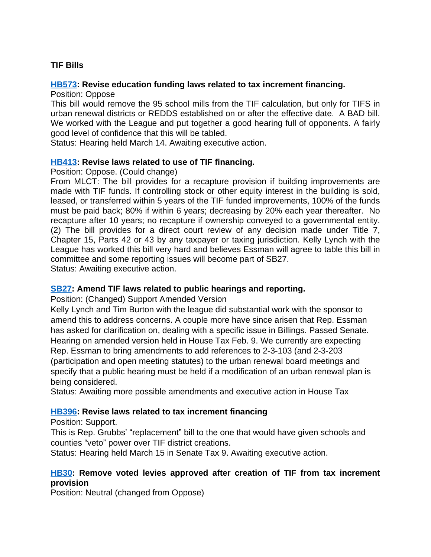# **TIF Bills**

#### **[HB573](http://laws.leg.mt.gov/legprd/LAW0210W$BSIV.ActionQuery?P_BILL_NO1=573&P_BLTP_BILL_TYP_CD=HB&Z_ACTION=Find&P_SESS=20171): Revise education funding laws related to tax increment financing.**

Position: Oppose

This bill would remove the 95 school mills from the TIF calculation, but only for TIFS in urban renewal districts or REDDS established on or after the effective date. A BAD bill. We worked with the League and put together a good hearing full of opponents. A fairly good level of confidence that this will be tabled.

Status: Hearing held March 14. Awaiting executive action.

### **[HB413](http://laws.leg.mt.gov/legprd/LAW0210W$BSIV.ActionQuery?P_BILL_NO1=413&P_BLTP_BILL_TYP_CD=HB&Z_ACTION=Find&P_SESS=20171): Revise laws related to use of TIF financing.**

Position: Oppose. (Could change)

From MLCT: The bill provides for a recapture provision if building improvements are made with TIF funds. If controlling stock or other equity interest in the building is sold, leased, or transferred within 5 years of the TIF funded improvements, 100% of the funds must be paid back; 80% if within 6 years; decreasing by 20% each year thereafter. No recapture after 10 years; no recapture if ownership conveyed to a governmental entity. (2) The bill provides for a direct court review of any decision made under Title 7, Chapter 15, Parts 42 or 43 by any taxpayer or taxing jurisdiction. Kelly Lynch with the League has worked this bill very hard and believes Essman will agree to table this bill in committee and some reporting issues will become part of SB27. Status: Awaiting executive action.

#### **[SB27](http://laws.leg.mt.gov/legprd/LAW0210W$BSIV.ActionQuery?P_BILL_NO1=27&P_BLTP_BILL_TYP_CD=SB&Z_ACTION=Find&P_SESS=20171): Amend TIF laws related to public hearings and reporting.**

Position: (Changed) Support Amended Version

Kelly Lynch and Tim Burton with the league did substantial work with the sponsor to amend this to address concerns. A couple more have since arisen that Rep. Essman has asked for clarification on, dealing with a specific issue in Billings. Passed Senate. Hearing on amended version held in House Tax Feb. 9. We currently are expecting Rep. Essman to bring amendments to add references to 2-3-103 (and 2-3-203 (participation and open meeting statutes) to the urban renewal board meetings and specify that a public hearing must be held if a modification of an urban renewal plan is being considered.

Status: Awaiting more possible amendments and executive action in House Tax

#### **[HB396](http://laws.leg.mt.gov/legprd/LAW0210W$BSIV.ActionQuery?P_BILL_NO1=396&P_BLTP_BILL_TYP_CD=HB&Z_ACTION=Find&P_SESS=20171): Revise laws related to tax increment financing**

Position: Support.

This is Rep. Grubbs' "replacement" bill to the one that would have given schools and counties "veto" power over TIF district creations.

Status: Hearing held March 15 in Senate Tax 9. Awaiting executive action.

## **[HB30:](http://laws.leg.mt.gov/legprd/LAW0210W$BSIV.ActionQuery?P_BILL_NO1=30&P_BLTP_BILL_TYP_CD=HB&Z_ACTION=Find&P_SESS=20171) Remove voted levies approved after creation of TIF from tax increment provision**

Position: Neutral (changed from Oppose)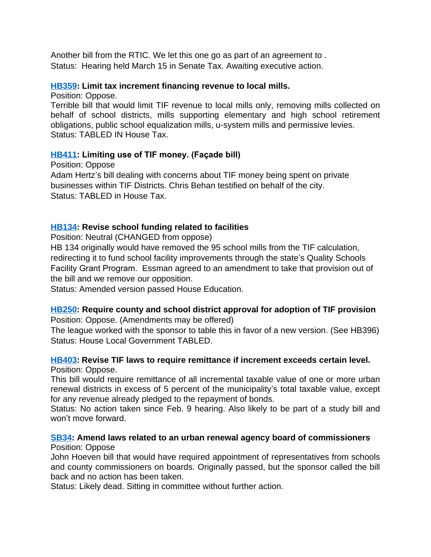Another bill from the RTIC. We let this one go as part of an agreement to . Status: Hearing held March 15 in Senate Tax. Awaiting executive action.

#### **[HB359](http://laws.leg.mt.gov/legprd/LAW0210W$BSIV.ActionQuery?P_BILL_NO1=359&P_BLTP_BILL_TYP_CD=HB&Z_ACTION=Find&P_SESS=20171): Limit tax increment financing revenue to local mills.**

Position: Oppose.

Terrible bill that would limit TIF revenue to local mills only, removing mills collected on behalf of school districts, mills supporting elementary and high school retirement obligations, public school equalization mills, u-system mills and permissive levies. Status: TABLED IN House Tax.

## **[HB411](http://laws.leg.mt.gov/legprd/LAW0210W$BSIV.ActionQuery?P_BILL_NO1=411&P_BLTP_BILL_TYP_CD=HB&Z_ACTION=Find&P_SESS=20171): Limiting use of TIF money. (Façade bill)**

Position: Oppose Adam Hertz's bill dealing with concerns about TIF money being spent on private businesses within TIF Districts. Chris Behan testified on behalf of the city. Status: TABLED in House Tax.

## **[HB134](http://laws.leg.mt.gov/legprd/LAW0210W$BSIV.ActionQuery?P_BILL_NO1=134&P_BLTP_BILL_TYP_CD=HB&Z_ACTION=Find&P_SESS=20171): Revise school funding related to facilities**

Position: Neutral (CHANGED from oppose)

HB 134 originally would have removed the 95 school mills from the TIF calculation, redirecting it to fund school facility improvements through the state's Quality Schools Facility Grant Program. Essman agreed to an amendment to take that provision out of the bill and we remove our opposition.

Status: Amended version passed House Education.

#### **[HB250](http://laws.leg.mt.gov/legprd/LAW0210W$BSIV.ActionQuery?P_BILL_NO1=250&P_BLTP_BILL_TYP_CD=HB&Z_ACTION=Find&P_SESS=20171): Require county and school district approval for adoption of TIF provision** Position: Oppose. (Amendments may be offered)

The league worked with the sponsor to table this in favor of a new version. (See HB396) Status: House Local Government TABLED.

### **[HB403](http://laws.leg.mt.gov/legprd/LAW0210W$BSIV.ActionQuery?P_BILL_NO1=403&P_BLTP_BILL_TYP_CD=HB&Z_ACTION=Find&P_SESS=20171): Revise TIF laws to require remittance if increment exceeds certain level.** Position: Oppose.

This bill would require remittance of all incremental taxable value of one or more urban renewal districts in excess of 5 percent of the municipality's total taxable value, except for any revenue already pledged to the repayment of bonds.

Status: No action taken since Feb. 9 hearing. Also likely to be part of a study bill and won't move forward.

#### **[SB34](http://laws.leg.mt.gov/legprd/LAW0210W$BSIV.ActionQuery?P_BILL_NO1=34&P_BLTP_BILL_TYP_CD=SB&Z_ACTION=Find&P_SESS=20171): Amend laws related to an urban renewal agency board of commissioners** Position: Oppose

John Hoeven bill that would have required appointment of representatives from schools and county commissioners on boards. Originally passed, but the sponsor called the bill back and no action has been taken.

Status: Likely dead. Sitting in committee without further action.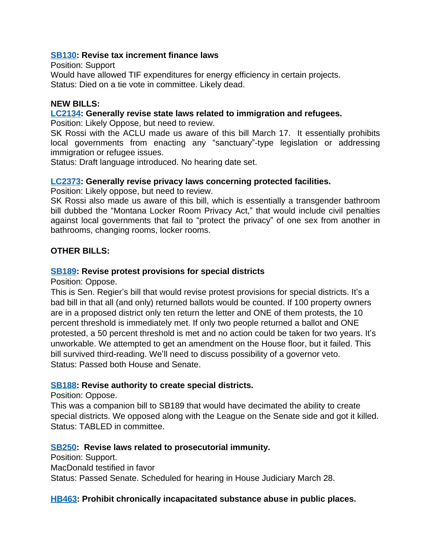#### **[SB130:](http://laws.leg.mt.gov/legprd/LAW0210W$BSIV.ActionQuery?P_BILL_NO1=130&P_BLTP_BILL_TYP_CD=SB&Z_ACTION=Find&P_SESS=20171) Revise tax increment finance laws**

Position: Support

Would have allowed TIF expenditures for energy efficiency in certain projects. Status: Died on a tie vote in committee. Likely dead.

#### **NEW BILLS:**

#### **[LC2134:](http://leg.mt.gov/bills/2017/billpdf/LC2134.pdf) Generally revise state laws related to immigration and refugees.**

Position: Likely Oppose, but need to review.

SK Rossi with the ACLU made us aware of this bill March 17. It essentially prohibits local governments from enacting any "sanctuary"-type legislation or addressing immigration or refugee issues.

Status: Draft language introduced. No hearing date set.

#### **[LC2373:](http://laws.leg.mt.gov/legprd/LAW0210W$BSIV.ActionQuery?P_BILL_NO1=609&P_BLTP_BILL_TYP_CD=HB&Z_ACTION=Find&P_SESS=20171) Generally revise privacy laws concerning protected facilities.**

Position: Likely oppose, but need to review.

SK Rossi also made us aware of this bill, which is essentially a transgender bathroom bill dubbed the "Montana Locker Room Privacy Act," that would include civil penalties against local governments that fail to "protect the privacy" of one sex from another in bathrooms, changing rooms, locker rooms.

### **OTHER BILLS:**

#### **[SB189:](http://laws.leg.mt.gov/legprd/LAW0210W$BSIV.ActionQuery?P_BILL_NO1=189&P_BLTP_BILL_TYP_CD=SB&Z_ACTION=Find&P_SESS=20171) Revise protest provisions for special districts**

Position: Oppose.

This is Sen. Regier's bill that would revise protest provisions for special districts. It's a bad bill in that all (and only) returned ballots would be counted. If 100 property owners are in a proposed district only ten return the letter and ONE of them protests, the 10 percent threshold is immediately met. If only two people returned a ballot and ONE protested, a 50 percent threshold is met and no action could be taken for two years. It's unworkable. We attempted to get an amendment on the House floor, but it failed. This bill survived third-reading. We'll need to discuss possibility of a governor veto. Status: Passed both House and Senate.

#### **[SB188:](http://laws.leg.mt.gov/legprd/LAW0210W$BSIV.ActionQuery?P_BILL_NO1=188&P_BLTP_BILL_TYP_CD=SB&Z_ACTION=Find&P_SESS=20171) Revise authority to create special districts.**

Position: Oppose.

This was a companion bill to SB189 that would have decimated the ability to create special districts. We opposed along with the League on the Senate side and got it killed. Status: TABLED in committee.

#### **[SB250:](http://laws.leg.mt.gov/legprd/LAW0210W$BSIV.ActionQuery?P_BILL_NO1=250&P_BLTP_BILL_TYP_CD=SB&Z_ACTION=Find&P_SESS=20171) Revise laws related to prosecutorial immunity.**

Position: Support. MacDonald testified in favor Status: Passed Senate. Scheduled for hearing in House Judiciary March 28.

#### **[HB463](http://laws.leg.mt.gov/legprd/LAW0210W$BSIV.ActionQuery?P_BILL_NO1=463&P_BLTP_BILL_TYP_CD=HB&Z_ACTION=Find&P_SESS=20171): Prohibit chronically incapacitated substance abuse in public places.**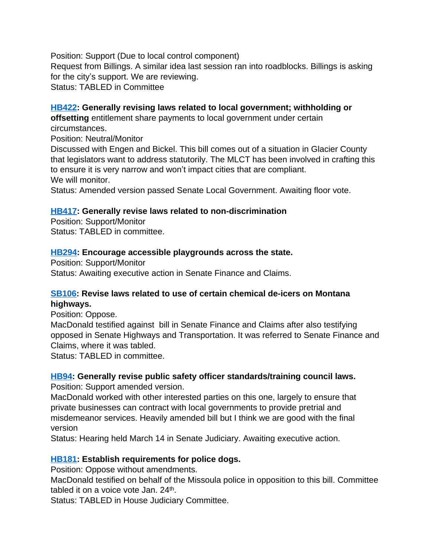Position: Support (Due to local control component) Request from Billings. A similar idea last session ran into roadblocks. Billings is asking for the city's support. We are reviewing. Status: TABLED in Committee

## **[HB422](http://laws.leg.mt.gov/legprd/LAW0210W$BSIV.ActionQuery?P_BILL_NO1=422&P_BLTP_BILL_TYP_CD=HB&Z_ACTION=Find&P_SESS=20171): Generally revising laws related to local government; withholding or**

**offsetting** entitlement share payments to local government under certain circumstances.

Position: Neutral/Monitor

Discussed with Engen and Bickel. This bill comes out of a situation in Glacier County that legislators want to address statutorily. The MLCT has been involved in crafting this to ensure it is very narrow and won't impact cities that are compliant. We will monitor.

Status: Amended version passed Senate Local Government. Awaiting floor vote.

### **[HB417](http://laws.leg.mt.gov/legprd/LAW0210W$BSIV.ActionQuery?P_BILL_NO1=417&P_BLTP_BILL_TYP_CD=HB&Z_ACTION=Find&P_SESS=20171): Generally revise laws related to non-discrimination**

Position: Support/Monitor Status: TABLED in committee.

### **[HB294](http://laws.leg.mt.gov/legprd/LAW0210W$BSIV.ActionQuery?P_BILL_NO1=294&P_BLTP_BILL_TYP_CD=HB&Z_ACTION=Find&P_SESS=20171): Encourage accessible playgrounds across the state.**

Position: Support/Monitor Status: Awaiting executive action in Senate Finance and Claims.

## **[SB106:](http://laws.leg.mt.gov/legprd/LAW0210W$BSIV.ActionQuery?P_BILL_NO1=106&P_BLTP_BILL_TYP_CD=SB&Z_ACTION=Find&P_SESS=20171) Revise laws related to use of certain chemical de-icers on Montana highways.**

Position: Oppose.

MacDonald testified against bill in Senate Finance and Claims after also testifying opposed in Senate Highways and Transportation. It was referred to Senate Finance and Claims, where it was tabled.

Status: TABLED in committee.

## **[HB94:](http://laws.leg.mt.gov/legprd/LAW0210W$BSIV.ActionQuery?P_BILL_NO1=94&P_BLTP_BILL_TYP_CD=HB&Z_ACTION=Find&P_SESS=20171) Generally revise public safety officer standards/training council laws.**

Position: Support amended version.

MacDonald worked with other interested parties on this one, largely to ensure that private businesses can contract with local governments to provide pretrial and misdemeanor services. Heavily amended bill but I think we are good with the final version

Status: Hearing held March 14 in Senate Judiciary. Awaiting executive action.

#### **[HB181](http://laws.leg.mt.gov/legprd/LAW0210W$BSIV.ActionQuery?P_BILL_NO1=181&P_BLTP_BILL_TYP_CD=HB&Z_ACTION=Find&P_SESS=20171): Establish requirements for police dogs.**

Position: Oppose without amendments.

MacDonald testified on behalf of the Missoula police in opposition to this bill. Committee tabled it on a voice vote Jan. 24<sup>th</sup>.

Status: TABLED in House Judiciary Committee.